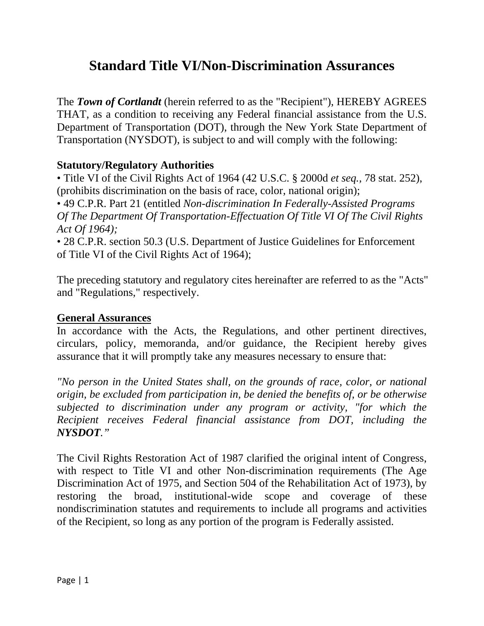# **Standard Title VI/Non-Discrimination Assurances**

The *Town of Cortlandt* (herein referred to as the "Recipient"), HEREBY AGREES THAT, as a condition to receiving any Federal financial assistance from the U.S. Department of Transportation (DOT), through the New York State Department of Transportation (NYSDOT), is subject to and will comply with the following:

#### **Statutory/Regulatory Authorities**

• Title VI of the Civil Rights Act of 1964 (42 U.S.C. § 2000d *et seq.,* 78 stat. 252), (prohibits discrimination on the basis of race, color, national origin);

• 49 C.P.R. Part 21 (entitled *Non-discrimination In Federally-Assisted Programs Of The Department Of Transportation-Effectuation Of Title VI Of The Civil Rights Act Of 1964);* 

• 28 C.P.R. section 50.3 (U.S. Department of Justice Guidelines for Enforcement of Title VI of the Civil Rights Act of 1964);

The preceding statutory and regulatory cites hereinafter are referred to as the "Acts" and "Regulations," respectively.

#### **General Assurances**

In accordance with the Acts, the Regulations, and other pertinent directives, circulars, policy, memoranda, and/or guidance, the Recipient hereby gives assurance that it will promptly take any measures necessary to ensure that:

*"No person in the United States shall, on the grounds of race, color, or national origin, be excluded from participation in, be denied the benefits of, or be otherwise subjected to discrimination under any program or activity, "for which the Recipient receives Federal financial assistance from DOT, including the NYSDOT."* 

The Civil Rights Restoration Act of 1987 clarified the original intent of Congress, with respect to Title VI and other Non-discrimination requirements (The Age Discrimination Act of 1975, and Section 504 of the Rehabilitation Act of 1973), by restoring the broad, institutional-wide scope and coverage of these nondiscrimination statutes and requirements to include all programs and activities of the Recipient, so long as any portion of the program is Federally assisted.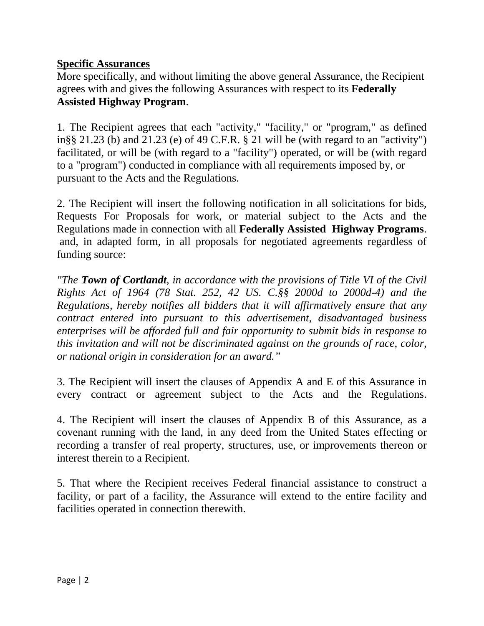#### **Specific Assurances**

More specifically, and without limiting the above general Assurance, the Recipient agrees with and gives the following Assurances with respect to its **Federally Assisted Highway Program**.

1. The Recipient agrees that each "activity," "facility," or "program," as defined in§§ 21.23 (b) and 21.23 (e) of 49 C.F.R. § 21 will be (with regard to an "activity") facilitated, or will be (with regard to a "facility") operated, or will be (with regard to a "program") conducted in compliance with all requirements imposed by, or pursuant to the Acts and the Regulations.

2. The Recipient will insert the following notification in all solicitations for bids, Requests For Proposals for work, or material subject to the Acts and the Regulations made in connection with all **Federally Assisted Highway Programs**. and, in adapted form, in all proposals for negotiated agreements regardless of funding source:

*"The Town of Cortlandt, in accordance with the provisions of Title VI of the Civil Rights Act of 1964 (78 Stat. 252, 42 US. C.§§ 2000d to 2000d-4) and the Regulations, hereby notifies all bidders that it will affirmatively ensure that any contract entered into pursuant to this advertisement, disadvantaged business enterprises will be afforded full and fair opportunity to submit bids in response to this invitation and will not be discriminated against on the grounds of race, color, or national origin in consideration for an award."* 

3. The Recipient will insert the clauses of Appendix A and E of this Assurance in every contract or agreement subject to the Acts and the Regulations.

4. The Recipient will insert the clauses of Appendix B of this Assurance, as a covenant running with the land, in any deed from the United States effecting or recording a transfer of real property, structures, use, or improvements thereon or interest therein to a Recipient.

5. That where the Recipient receives Federal financial assistance to construct a facility, or part of a facility, the Assurance will extend to the entire facility and facilities operated in connection therewith.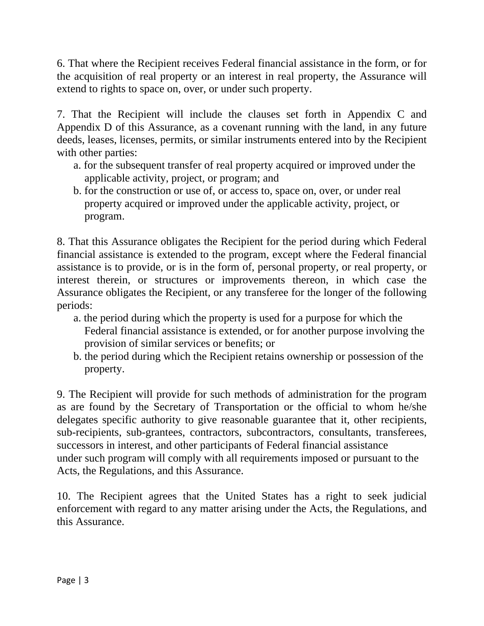6. That where the Recipient receives Federal financial assistance in the form, or for the acquisition of real property or an interest in real property, the Assurance will extend to rights to space on, over, or under such property.

7. That the Recipient will include the clauses set forth in Appendix C and Appendix D of this Assurance, as a covenant running with the land, in any future deeds, leases, licenses, permits, or similar instruments entered into by the Recipient with other parties:

- a. for the subsequent transfer of real property acquired or improved under the applicable activity, project, or program; and
- b. for the construction or use of, or access to, space on, over, or under real property acquired or improved under the applicable activity, project, or program.

8. That this Assurance obligates the Recipient for the period during which Federal financial assistance is extended to the program, except where the Federal financial assistance is to provide, or is in the form of, personal property, or real property, or interest therein, or structures or improvements thereon, in which case the Assurance obligates the Recipient, or any transferee for the longer of the following periods:

- a. the period during which the property is used for a purpose for which the Federal financial assistance is extended, or for another purpose involving the provision of similar services or benefits; or
- b. the period during which the Recipient retains ownership or possession of the property.

9. The Recipient will provide for such methods of administration for the program as are found by the Secretary of Transportation or the official to whom he/she delegates specific authority to give reasonable guarantee that it, other recipients, sub-recipients, sub-grantees, contractors, subcontractors, consultants, transferees, successors in interest, and other participants of Federal financial assistance under such program will comply with all requirements imposed or pursuant to the Acts, the Regulations, and this Assurance.

10. The Recipient agrees that the United States has a right to seek judicial enforcement with regard to any matter arising under the Acts, the Regulations, and this Assurance.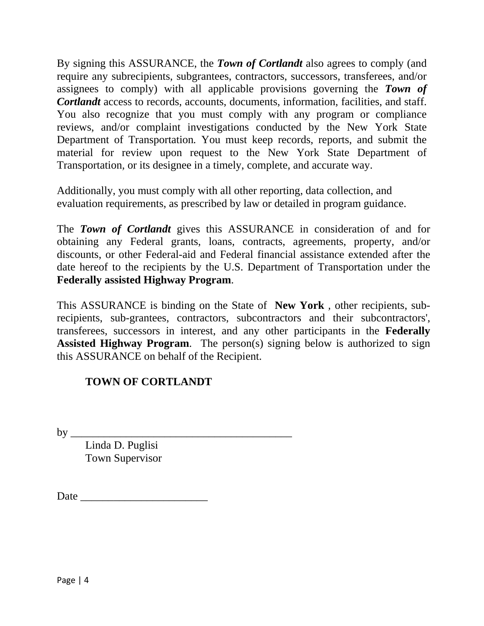By signing this ASSURANCE, the *Town of Cortlandt* also agrees to comply (and require any subrecipients, subgrantees, contractors, successors, transferees, and/or assignees to comply) with all applicable provisions governing the *Town of Cortlandt* access to records, accounts, documents, information, facilities, and staff. You also recognize that you must comply with any program or compliance reviews, and/or complaint investigations conducted by the New York State Department of Transportation*.* You must keep records, reports, and submit the material for review upon request to the New York State Department of Transportation*,* or its designee in a timely, complete, and accurate way.

Additionally, you must comply with all other reporting, data collection, and evaluation requirements, as prescribed by law or detailed in program guidance.

The *Town of Cortlandt* gives this ASSURANCE in consideration of and for obtaining any Federal grants, loans, contracts, agreements, property, and/or discounts, or other Federal-aid and Federal financial assistance extended after the date hereof to the recipients by the U.S. Department of Transportation under the **Federally assisted Highway Program**.

This ASSURANCE is binding on the State of **New York** *,* other recipients, subrecipients, sub-grantees, contractors, subcontractors and their subcontractors', transferees, successors in interest, and any other participants in the **Federally Assisted Highway Program**. The person(s) signing below is authorized to sign this ASSURANCE on behalf of the Recipient.

## **TOWN OF CORTLANDT**

by \_\_\_\_\_\_\_\_\_\_\_\_\_\_\_\_\_\_\_\_\_\_\_\_\_\_\_\_\_\_\_\_\_\_\_\_\_\_\_\_

Linda D. Puglisi Town Supervisor

Date  $\Box$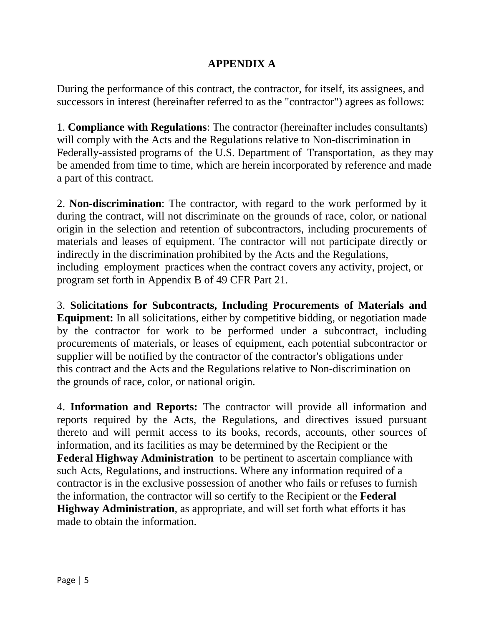### **APPENDIX A**

During the performance of this contract, the contractor, for itself, its assignees, and successors in interest (hereinafter referred to as the "contractor") agrees as follows:

1. **Compliance with Regulations**: The contractor (hereinafter includes consultants) will comply with the Acts and the Regulations relative to Non-discrimination in Federally-assisted programs of the U.S. Department of Transportation, as they may be amended from time to time, which are herein incorporated by reference and made a part of this contract.

2. **Non-discrimination**: The contractor, with regard to the work performed by it during the contract, will not discriminate on the grounds of race, color, or national origin in the selection and retention of subcontractors, including procurements of materials and leases of equipment. The contractor will not participate directly or indirectly in the discrimination prohibited by the Acts and the Regulations, including employment practices when the contract covers any activity, project, or program set forth in Appendix B of 49 CFR Part 21*.* 

3. **Solicitations for Subcontracts, Including Procurements of Materials and Equipment:** In all solicitations, either by competitive bidding, or negotiation made by the contractor for work to be performed under a subcontract, including procurements of materials, or leases of equipment, each potential subcontractor or supplier will be notified by the contractor of the contractor's obligations under this contract and the Acts and the Regulations relative to Non-discrimination on the grounds of race, color, or national origin.

4. **Information and Reports:** The contractor will provide all information and reports required by the Acts, the Regulations, and directives issued pursuant thereto and will permit access to its books, records, accounts, other sources of information, and its facilities as may be determined by the Recipient or the **Federal Highway Administration** to be pertinent to ascertain compliance with such Acts, Regulations, and instructions. Where any information required of a contractor is in the exclusive possession of another who fails or refuses to furnish the information, the contractor will so certify to the Recipient or the **Federal Highway Administration***,* as appropriate, and will set forth what efforts it has made to obtain the information.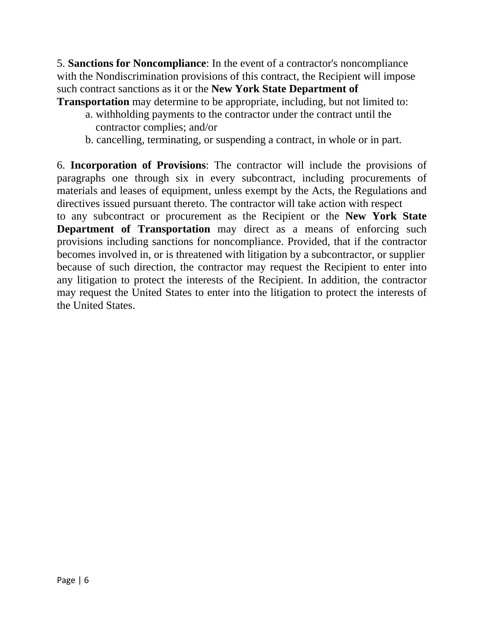5. **Sanctions for Noncompliance**: In the event of a contractor's noncompliance with the Nondiscrimination provisions of this contract, the Recipient will impose such contract sanctions as it or the **New York State Department of Transportation** may determine to be appropriate, including, but not limited to:

- - a. withholding payments to the contractor under the contract until the contractor complies; and/or
	- b. cancelling, terminating, or suspending a contract, in whole or in part.

6. **Incorporation of Provisions**: The contractor will include the provisions of paragraphs one through six in every subcontract, including procurements of materials and leases of equipment, unless exempt by the Acts, the Regulations and directives issued pursuant thereto. The contractor will take action with respect

to any subcontract or procurement as the Recipient or the **New York State Department of Transportation** may direct as a means of enforcing such provisions including sanctions for noncompliance. Provided, that if the contractor becomes involved in, or is threatened with litigation by a subcontractor, or supplier because of such direction, the contractor may request the Recipient to enter into any litigation to protect the interests of the Recipient. In addition, the contractor may request the United States to enter into the litigation to protect the interests of the United States.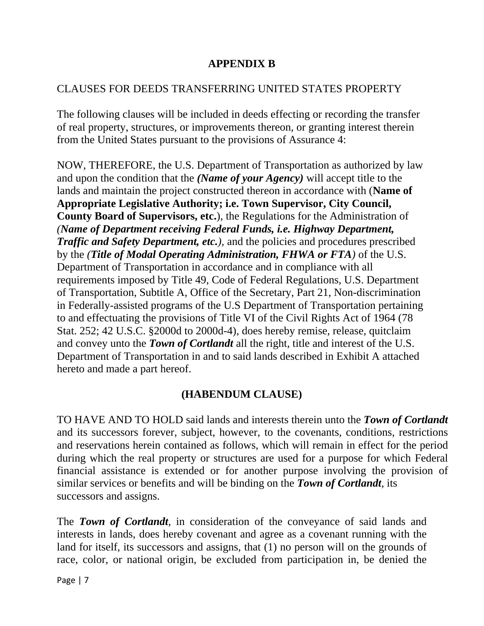### **APPENDIX B**

#### CLAUSES FOR DEEDS TRANSFERRING UNITED STATES PROPERTY

The following clauses will be included in deeds effecting or recording the transfer of real property, structures, or improvements thereon, or granting interest therein from the United States pursuant to the provisions of Assurance 4:

NOW, THEREFORE, the U.S. Department of Transportation as authorized by law and upon the condition that the *(Name of your Agency)* will accept title to the lands and maintain the project constructed thereon in accordance with (**Name of Appropriate Legislative Authority; i.e. Town Supervisor, City Council, County Board of Supervisors, etc.**)*,* the Regulations for the Administration of *(Name of Department receiving Federal Funds, i.e. Highway Department, Traffic and Safety Department, etc.),* and the policies and procedures prescribed by the *(Title of Modal Operating Administration, FHWA or FTA)* of the U.S. Department of Transportation in accordance and in compliance with all requirements imposed by Title 49, Code of Federal Regulations, U.S. Department of Transportation, Subtitle A, Office of the Secretary, Part 21, Non-discrimination in Federally-assisted programs of the U.S Department of Transportation pertaining to and effectuating the provisions of Title VI of the Civil Rights Act of 1964 (78 Stat. 252; 42 U.S.C. §2000d to 2000d-4), does hereby remise, release, quitclaim and convey unto the *Town of Cortlandt* all the right, title and interest of the U.S. Department of Transportation in and to said lands described in Exhibit A attached hereto and made a part hereof.

### **(HABENDUM CLAUSE)**

TO HAVE AND TO HOLD said lands and interests therein unto the *Town of Cortlandt*  and its successors forever, subject, however, to the covenants, conditions, restrictions and reservations herein contained as follows, which will remain in effect for the period during which the real property or structures are used for a purpose for which Federal financial assistance is extended or for another purpose involving the provision of similar services or benefits and will be binding on the *Town of Cortlandt,* its successors and assigns.

The *Town of Cortlandt,* in consideration of the conveyance of said lands and interests in lands, does hereby covenant and agree as a covenant running with the land for itself, its successors and assigns, that (1) no person will on the grounds of race, color, or national origin, be excluded from participation in, be denied the

Page | 7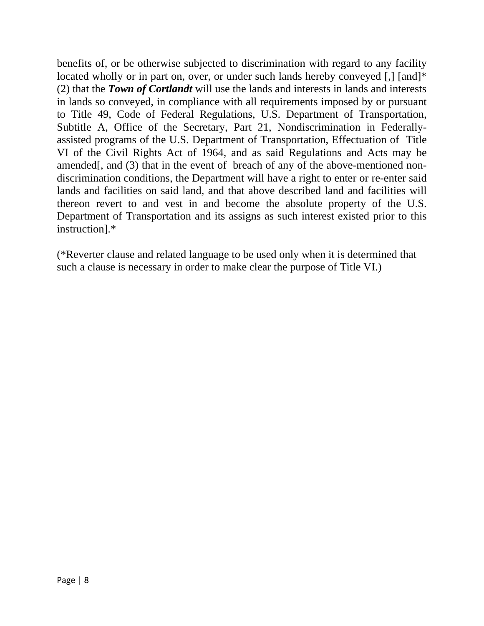benefits of, or be otherwise subjected to discrimination with regard to any facility located wholly or in part on, over, or under such lands hereby conveyed [,] [and]\* (2) that the *Town of Cortlandt* will use the lands and interests in lands and interests in lands so conveyed, in compliance with all requirements imposed by or pursuant to Title 49, Code of Federal Regulations, U.S. Department of Transportation, Subtitle A, Office of the Secretary, Part 21, Nondiscrimination in Federallyassisted programs of the U.S. Department of Transportation, Effectuation of Title VI of the Civil Rights Act of 1964, and as said Regulations and Acts may be amended[, and (3) that in the event of breach of any of the above-mentioned nondiscrimination conditions, the Department will have a right to enter or re-enter said lands and facilities on said land, and that above described land and facilities will thereon revert to and vest in and become the absolute property of the U.S. Department of Transportation and its assigns as such interest existed prior to this instruction].\*

(\*Reverter clause and related language to be used only when it is determined that such a clause is necessary in order to make clear the purpose of Title VI.)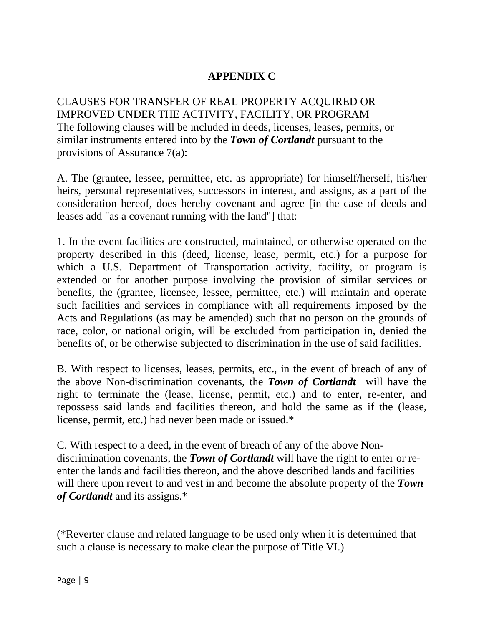## **APPENDIX C**

CLAUSES FOR TRANSFER OF REAL PROPERTY ACQUIRED OR IMPROVED UNDER THE ACTIVITY, FACILITY, OR PROGRAM The following clauses will be included in deeds, licenses, leases, permits, or similar instruments entered into by the *Town of Cortlandt* pursuant to the provisions of Assurance 7(a):

A. The (grantee, lessee, permittee, etc. as appropriate) for himself/herself, his/her heirs, personal representatives, successors in interest, and assigns, as a part of the consideration hereof, does hereby covenant and agree [in the case of deeds and leases add "as a covenant running with the land"] that:

1. In the event facilities are constructed, maintained, or otherwise operated on the property described in this (deed, license, lease, permit, etc.) for a purpose for which a U.S. Department of Transportation activity, facility, or program is extended or for another purpose involving the provision of similar services or benefits, the (grantee, licensee, lessee, permittee, etc.) will maintain and operate such facilities and services in compliance with all requirements imposed by the Acts and Regulations (as may be amended) such that no person on the grounds of race, color, or national origin, will be excluded from participation in, denied the benefits of, or be otherwise subjected to discrimination in the use of said facilities.

B. With respect to licenses, leases, permits, etc., in the event of breach of any of the above Non-discrimination covenants, the *Town of Cortlandt* will have the right to terminate the (lease, license, permit, etc.) and to enter, re-enter, and repossess said lands and facilities thereon, and hold the same as if the (lease, license, permit, etc.) had never been made or issued.\*

C. With respect to a deed, in the event of breach of any of the above Nondiscrimination covenants, the *Town of Cortlandt* will have the right to enter or reenter the lands and facilities thereon, and the above described lands and facilities will there upon revert to and vest in and become the absolute property of the *Town of Cortlandt* and its assigns.\*

(\*Reverter clause and related language to be used only when it is determined that such a clause is necessary to make clear the purpose of Title VI.)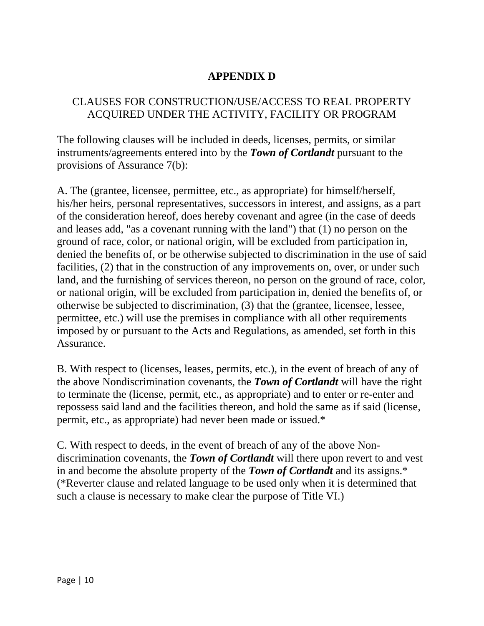### **APPENDIX D**

#### CLAUSES FOR CONSTRUCTION/USE/ACCESS TO REAL PROPERTY ACQUIRED UNDER THE ACTIVITY, FACILITY OR PROGRAM

The following clauses will be included in deeds, licenses, permits, or similar instruments/agreements entered into by the *Town of Cortlandt* pursuant to the provisions of Assurance 7(b):

A. The (grantee, licensee, permittee, etc., as appropriate) for himself/herself, his/her heirs, personal representatives, successors in interest, and assigns, as a part of the consideration hereof, does hereby covenant and agree (in the case of deeds and leases add, "as a covenant running with the land") that (1) no person on the ground of race, color, or national origin, will be excluded from participation in, denied the benefits of, or be otherwise subjected to discrimination in the use of said facilities, (2) that in the construction of any improvements on, over, or under such land, and the furnishing of services thereon, no person on the ground of race, color, or national origin, will be excluded from participation in, denied the benefits of, or otherwise be subjected to discrimination, (3) that the (grantee, licensee, lessee, permittee, etc.) will use the premises in compliance with all other requirements imposed by or pursuant to the Acts and Regulations, as amended, set forth in this Assurance.

B. With respect to (licenses, leases, permits, etc.), in the event of breach of any of the above Nondiscrimination covenants, the *Town of Cortlandt* will have the right to terminate the (license, permit, etc., as appropriate) and to enter or re-enter and repossess said land and the facilities thereon, and hold the same as if said (license, permit, etc., as appropriate) had never been made or issued.\*

C. With respect to deeds, in the event of breach of any of the above Nondiscrimination covenants, the *Town of Cortlandt* will there upon revert to and vest in and become the absolute property of the *Town of Cortlandt* and its assigns.\* (\*Reverter clause and related language to be used only when it is determined that such a clause is necessary to make clear the purpose of Title VI.)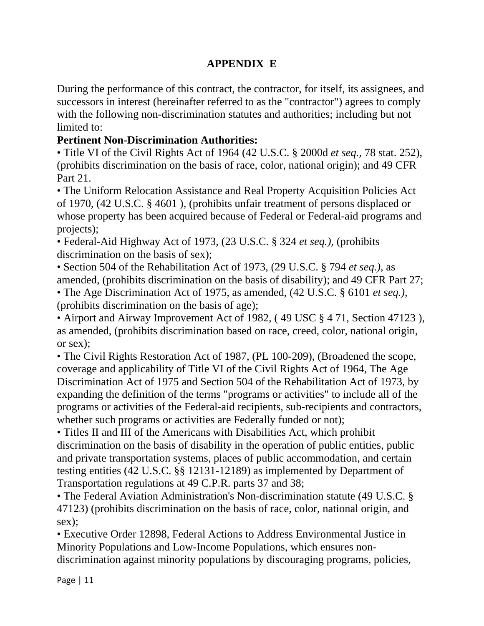## **APPENDIX E**

During the performance of this contract, the contractor, for itself, its assignees, and successors in interest (hereinafter referred to as the "contractor") agrees to comply with the following non-discrimination statutes and authorities; including but not limited to:

## **Pertinent Non-Discrimination Authorities:**

• Title VI of the Civil Rights Act of 1964 (42 U.S.C. § 2000d *et seq.,* 78 stat. 252), (prohibits discrimination on the basis of race, color, national origin); and 49 CFR Part 21.

• The Uniform Relocation Assistance and Real Property Acquisition Policies Act of 1970, (42 U.S.C. § 4601 ), (prohibits unfair treatment of persons displaced or whose property has been acquired because of Federal or Federal-aid programs and projects);

• Federal-Aid Highway Act of 1973, (23 U.S.C. § 324 *et seq.),* (prohibits discrimination on the basis of sex);

• Section 504 of the Rehabilitation Act of 1973, (29 U.S.C. § 794 *et seq.),* as amended, (prohibits discrimination on the basis of disability); and 49 CFR Part 27;

• The Age Discrimination Act of 1975, as amended, (42 U.S.C. § 6101 *et seq.),*  (prohibits discrimination on the basis of age);

• Airport and Airway Improvement Act of 1982, ( 49 USC § 4 71, Section 47123 ), as amended, (prohibits discrimination based on race, creed, color, national origin, or sex);

• The Civil Rights Restoration Act of 1987, (PL 100-209), (Broadened the scope, coverage and applicability of Title VI of the Civil Rights Act of 1964, The Age Discrimination Act of 1975 and Section 504 of the Rehabilitation Act of 1973, by expanding the definition of the terms "programs or activities" to include all of the programs or activities of the Federal-aid recipients, sub-recipients and contractors, whether such programs or activities are Federally funded or not);

• Titles II and III of the Americans with Disabilities Act, which prohibit discrimination on the basis of disability in the operation of public entities, public and private transportation systems, places of public accommodation, and certain testing entities (42 U.S.C. §§ 12131-12189) as implemented by Department of Transportation regulations at 49 C.P.R. parts 37 and 38;

• The Federal Aviation Administration's Non-discrimination statute (49 U.S.C. § 47123) (prohibits discrimination on the basis of race, color, national origin, and sex);

• Executive Order 12898, Federal Actions to Address Environmental Justice in Minority Populations and Low-Income Populations, which ensures nondiscrimination against minority populations by discouraging programs, policies,